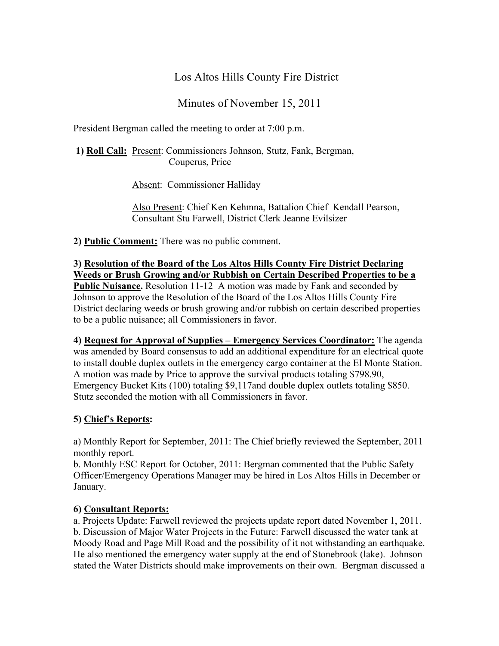## Los Altos Hills County Fire District

Minutes of November 15, 2011

President Bergman called the meeting to order at 7:00 p.m.

**1) Roll Call:** Present: Commissioners Johnson, Stutz, Fank, Bergman, Couperus, Price

Absent: Commissioner Halliday

Also Present: Chief Ken Kehmna, Battalion Chief Kendall Pearson, Consultant Stu Farwell, District Clerk Jeanne Evilsizer

**2) Public Comment:** There was no public comment.

**3) Resolution of the Board of the Los Altos Hills County Fire District Declaring Weeds or Brush Growing and/or Rubbish on Certain Described Properties to be a Public Nuisance.** Resolution 11-12 A motion was made by Fank and seconded by Johnson to approve the Resolution of the Board of the Los Altos Hills County Fire District declaring weeds or brush growing and/or rubbish on certain described properties to be a public nuisance; all Commissioners in favor.

**4) Request for Approval of Supplies – Emergency Services Coordinator:** The agenda was amended by Board consensus to add an additional expenditure for an electrical quote to install double duplex outlets in the emergency cargo container at the El Monte Station. A motion was made by Price to approve the survival products totaling \$798.90, Emergency Bucket Kits (100) totaling \$9,117and double duplex outlets totaling \$850. Stutz seconded the motion with all Commissioners in favor.

## **5) Chief's Reports:**

a) Monthly Report for September, 2011: The Chief briefly reviewed the September, 2011 monthly report.

b. Monthly ESC Report for October, 2011: Bergman commented that the Public Safety Officer/Emergency Operations Manager may be hired in Los Altos Hills in December or January.

## **6) Consultant Reports:**

a. Projects Update: Farwell reviewed the projects update report dated November 1, 2011. b. Discussion of Major Water Projects in the Future: Farwell discussed the water tank at Moody Road and Page Mill Road and the possibility of it not withstanding an earthquake. He also mentioned the emergency water supply at the end of Stonebrook (lake). Johnson stated the Water Districts should make improvements on their own. Bergman discussed a